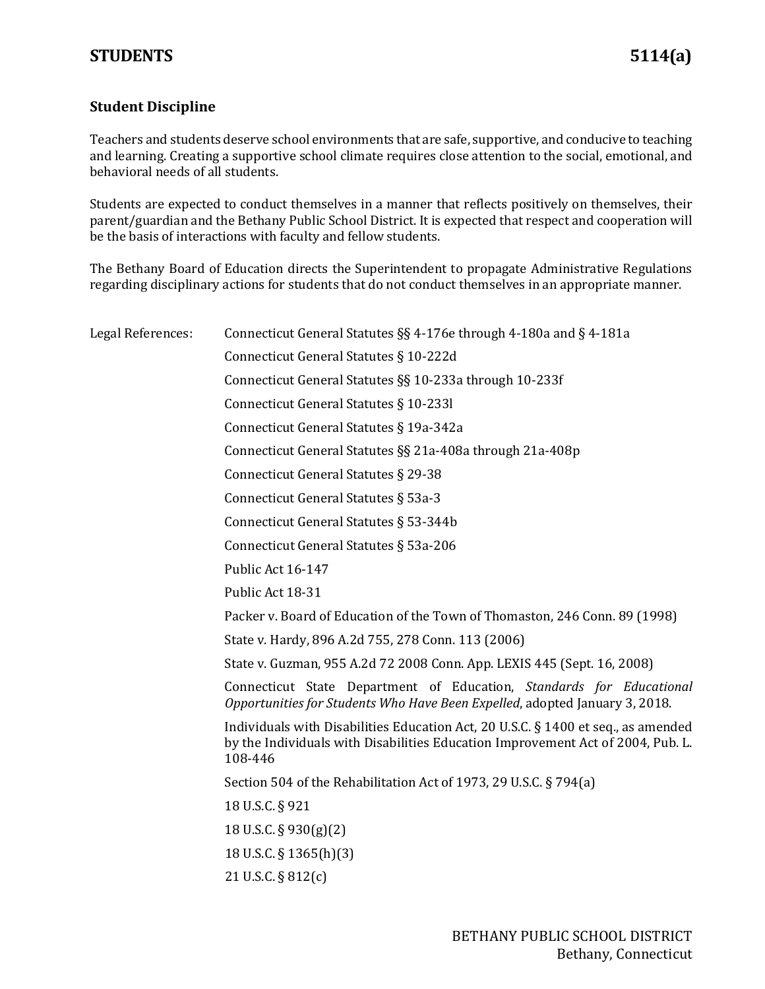## **Student Discipline**

Teachers and students deserve school environments that are safe, supportive, and conducive to teaching and learning. Creating a supportive school climate requires close attention to the social, emotional, and behavioral needs of all students.

Students are expected to conduct themselves in a manner that reflects positively on themselves, their parent/guardian and the Bethany Public School District. It is expected that respect and cooperation will be the basis of interactions with faculty and fellow students.

The Bethany Board of Education directs the Superintendent to propagate Administrative Regulations regarding disciplinary actions for students that do not conduct themselves in an appropriate manner.

| Legal References: | Connecticut General Statutes §§ 4-176e through 4-180a and § 4-181a                                                                                                              |
|-------------------|---------------------------------------------------------------------------------------------------------------------------------------------------------------------------------|
|                   | Connecticut General Statutes § 10-222d                                                                                                                                          |
|                   | Connecticut General Statutes §§ 10-233a through 10-233f                                                                                                                         |
|                   | Connecticut General Statutes § 10-2331                                                                                                                                          |
|                   | Connecticut General Statutes § 19a-342a                                                                                                                                         |
|                   | Connecticut General Statutes §§ 21a-408a through 21a-408p                                                                                                                       |
|                   | Connecticut General Statutes § 29-38                                                                                                                                            |
|                   | Connecticut General Statutes § 53a-3                                                                                                                                            |
|                   | Connecticut General Statutes § 53-344b                                                                                                                                          |
|                   | Connecticut General Statutes § 53a-206                                                                                                                                          |
|                   | Public Act 16-147                                                                                                                                                               |
|                   | Public Act 18-31                                                                                                                                                                |
|                   | Packer v. Board of Education of the Town of Thomaston, 246 Conn. 89 (1998)                                                                                                      |
|                   | State v. Hardy, 896 A.2d 755, 278 Conn. 113 (2006)                                                                                                                              |
|                   | State v. Guzman, 955 A.2d 72 2008 Conn. App. LEXIS 445 (Sept. 16, 2008)                                                                                                         |
|                   | Connecticut State Department of Education, Standards for Educational<br>Opportunities for Students Who Have Been Expelled, adopted January 3, 2018.                             |
|                   | Individuals with Disabilities Education Act, 20 U.S.C. § 1400 et seq., as amended<br>by the Individuals with Disabilities Education Improvement Act of 2004, Pub. L.<br>108-446 |
|                   | Section 504 of the Rehabilitation Act of 1973, 29 U.S.C. § 794(a)                                                                                                               |
|                   | 18 U.S.C. § 921                                                                                                                                                                 |
|                   | 18 U.S.C. § 930(g)(2)                                                                                                                                                           |
|                   | 18 U.S.C. § 1365(h)(3)                                                                                                                                                          |
|                   | 21 U.S.C. § 812(c)                                                                                                                                                              |